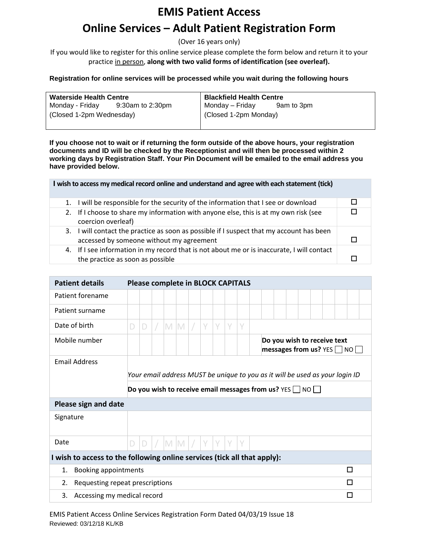# **EMIS Patient Access**

# **Online Services – Adult Patient Registration Form**

(Over 16 years only)

If you would like to register for this online service please complete the form below and return it to your practice in person, **along with two valid forms of identification (see overleaf).** 

### **Registration for online services will be processed while you wait during the following hours**

| <b>Waterside Health Centre</b> |                  |                       | <b>Blackfield Health Centre</b> |  |  |  |  |  |
|--------------------------------|------------------|-----------------------|---------------------------------|--|--|--|--|--|
| Monday - Friday                | 9:30am to 2:30pm | Monday – Friday       | 9am to 3pm                      |  |  |  |  |  |
| (Closed 1-2pm Wednesday)       |                  | (Closed 1-2pm Monday) |                                 |  |  |  |  |  |
|                                |                  |                       |                                 |  |  |  |  |  |

**If you choose not to wait or if returning the form outside of the above hours, your registration documents and ID will be checked by the Receptionist and will then be processed within 2 working days by Registration Staff. Your Pin Document will be emailed to the email address you have provided below.** 

|    | I wish to access my medical record online and understand and agree with each statement (tick)                                     |  |
|----|-----------------------------------------------------------------------------------------------------------------------------------|--|
| 1. | I will be responsible for the security of the information that I see or download                                                  |  |
| 2. | If I choose to share my information with anyone else, this is at my own risk (see<br>coercion overleaf)                           |  |
| 3. | I will contact the practice as soon as possible if I suspect that my account has been<br>accessed by someone without my agreement |  |
|    | 4. If I see information in my record that is not about me or is inaccurate, I will contact<br>the practice as soon as possible    |  |

| <b>Patient details</b>                                                   | <b>Please complete in BLOCK CAPITALS</b>                                     |   |  |  |     |  |   |        |   |        |                                                                     |                                                           |  |  |   |  |
|--------------------------------------------------------------------------|------------------------------------------------------------------------------|---|--|--|-----|--|---|--------|---|--------|---------------------------------------------------------------------|-----------------------------------------------------------|--|--|---|--|
| Patient forename                                                         |                                                                              |   |  |  |     |  |   |        |   |        |                                                                     |                                                           |  |  |   |  |
| Patient surname                                                          |                                                                              |   |  |  |     |  |   |        |   |        |                                                                     |                                                           |  |  |   |  |
| Date of birth                                                            | D                                                                            | D |  |  | M M |  | Υ | $\vee$ | V | $\vee$ |                                                                     |                                                           |  |  |   |  |
| Mobile number                                                            |                                                                              |   |  |  |     |  |   |        |   |        |                                                                     | Do you wish to receive text<br>messages from us? $YES$ NO |  |  |   |  |
| <b>Email Address</b>                                                     |                                                                              |   |  |  |     |  |   |        |   |        |                                                                     |                                                           |  |  |   |  |
|                                                                          | Your email address MUST be unique to you as it will be used as your login ID |   |  |  |     |  |   |        |   |        |                                                                     |                                                           |  |  |   |  |
|                                                                          |                                                                              |   |  |  |     |  |   |        |   |        | Do you wish to receive email messages from us? YES $\Box$ NO $\Box$ |                                                           |  |  |   |  |
| Please sign and date                                                     |                                                                              |   |  |  |     |  |   |        |   |        |                                                                     |                                                           |  |  |   |  |
| Signature                                                                |                                                                              |   |  |  |     |  |   |        |   |        |                                                                     |                                                           |  |  |   |  |
|                                                                          |                                                                              |   |  |  |     |  |   |        |   |        |                                                                     |                                                           |  |  |   |  |
| Date                                                                     | D                                                                            | D |  |  | M M |  | V |        |   | $\vee$ |                                                                     |                                                           |  |  |   |  |
| I wish to access to the following online services (tick all that apply): |                                                                              |   |  |  |     |  |   |        |   |        |                                                                     |                                                           |  |  |   |  |
| <b>Booking appointments</b><br>1.                                        |                                                                              |   |  |  |     |  |   |        |   |        |                                                                     |                                                           |  |  | п |  |
| Requesting repeat prescriptions<br>2.                                    |                                                                              |   |  |  |     |  |   |        |   |        |                                                                     |                                                           |  |  | П |  |
| 3.                                                                       | Accessing my medical record<br>П                                             |   |  |  |     |  |   |        |   |        |                                                                     |                                                           |  |  |   |  |

EMIS Patient Access Online Services Registration Form Dated 04/03/19 Issue 18 Reviewed: 03/12/18 KL/KB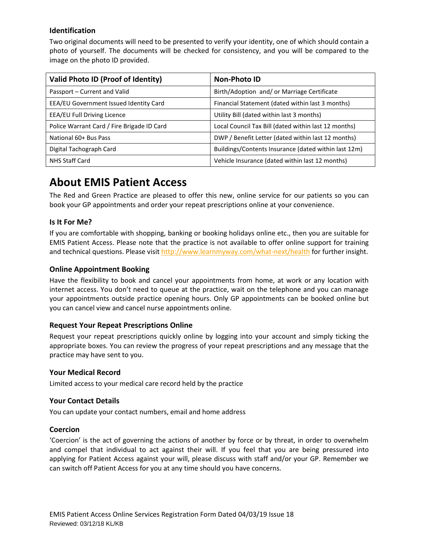# **Identification**

Two original documents will need to be presented to verify your identity, one of which should contain a photo of yourself. The documents will be checked for consistency, and you will be compared to the image on the photo ID provided.

| Valid Photo ID (Proof of Identity)         | <b>Non-Photo ID</b>                                  |  |  |  |  |  |  |
|--------------------------------------------|------------------------------------------------------|--|--|--|--|--|--|
| Passport – Current and Valid               | Birth/Adoption and/ or Marriage Certificate          |  |  |  |  |  |  |
| EEA/EU Government Issued Identity Card     | Financial Statement (dated within last 3 months)     |  |  |  |  |  |  |
| <b>EEA/EU Full Driving Licence</b>         | Utility Bill (dated within last 3 months)            |  |  |  |  |  |  |
| Police Warrant Card / Fire Brigade ID Card | Local Council Tax Bill (dated within last 12 months) |  |  |  |  |  |  |
| National 60+ Bus Pass                      | DWP / Benefit Letter (dated within last 12 months)   |  |  |  |  |  |  |
| Digital Tachograph Card                    | Buildings/Contents Insurance (dated within last 12m) |  |  |  |  |  |  |
| <b>NHS Staff Card</b>                      | Vehicle Insurance (dated within last 12 months)      |  |  |  |  |  |  |

# **About EMIS Patient Access**

The Red and Green Practice are pleased to offer this new, online service for our patients so you can book your GP appointments and order your repeat prescriptions online at your convenience.

## **Is It For Me?**

If you are comfortable with shopping, banking or booking holidays online etc., then you are suitable for EMIS Patient Access. Please note that the practice is not available to offer online support for training and technical questions. Please visi[t http://www.learnmyway.com/what-next/health](http://www.learnmyway.com/what-next/health) for further insight.

## **Online Appointment Booking**

Have the flexibility to book and cancel your appointments from home, at work or any location with internet access. You don't need to queue at the practice, wait on the telephone and you can manage your appointments outside practice opening hours. Only GP appointments can be booked online but you can cancel view and cancel nurse appointments online.

#### **Request Your Repeat Prescriptions Online**

Request your repeat prescriptions quickly online by logging into your account and simply ticking the appropriate boxes. You can review the progress of your repeat prescriptions and any message that the practice may have sent to you.

#### **Your Medical Record**

Limited access to your medical care record held by the practice

#### **Your Contact Details**

You can update your contact numbers, email and home address

#### **Coercion**

'Coercion' is the act of governing the actions of another by force or by threat, in order to overwhelm and compel that individual to act against their will. If you feel that you are being pressured into applying for Patient Access against your will, please discuss with staff and/or your GP. Remember we can switch off Patient Access for you at any time should you have concerns.